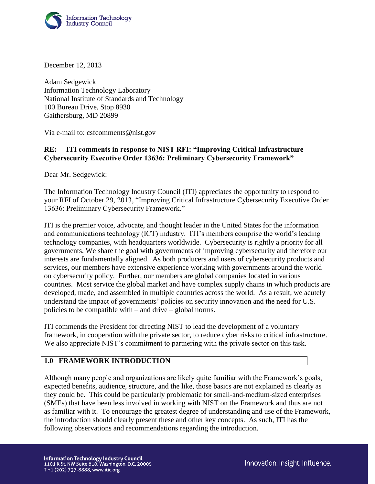

December 12, 2013

Adam Sedgewick Information Technology Laboratory National Institute of Standards and Technology 100 Bureau Drive, Stop 8930 Gaithersburg, MD 20899

Via e-mail to: csfcomments@nist.gov

## **RE: ITI comments in response to NIST RFI: "Improving Critical Infrastructure Cybersecurity Executive Order 13636: Preliminary Cybersecurity Framework"**

Dear Mr. Sedgewick:

The Information Technology Industry Council (ITI) appreciates the opportunity to respond to your RFI of October 29, 2013, "Improving Critical Infrastructure Cybersecurity Executive Order 13636: Preliminary Cybersecurity Framework."

ITI is the premier voice, advocate, and thought leader in the United States for the information and communications technology (ICT) industry. ITI's members comprise the world's leading technology companies, with headquarters worldwide. Cybersecurity is rightly a priority for all governments. We share the goal with governments of improving cybersecurity and therefore our interests are fundamentally aligned. As both producers and users of cybersecurity products and services, our members have extensive experience working with governments around the world on cybersecurity policy. Further, our members are global companies located in various countries. Most service the global market and have complex supply chains in which products are developed, made, and assembled in multiple countries across the world. As a result, we acutely understand the impact of governments' policies on security innovation and the need for U.S. policies to be compatible with – and drive – global norms.

ITI commends the President for directing NIST to lead the development of a voluntary framework, in cooperation with the private sector, to reduce cyber risks to critical infrastructure. We also appreciate NIST's commitment to partnering with the private sector on this task.

# **1.0 FRAMEWORK INTRODUCTION**

Although many people and organizations are likely quite familiar with the Framework's goals, expected benefits, audience, structure, and the like, those basics are not explained as clearly as they could be. This could be particularly problematic for small-and-medium-sized enterprises (SMEs) that have been less involved in working with NIST on the Framework and thus are not as familiar with it. To encourage the greatest degree of understanding and use of the Framework, the introduction should clearly present these and other key concepts. As such, ITI has the following observations and recommendations regarding the introduction.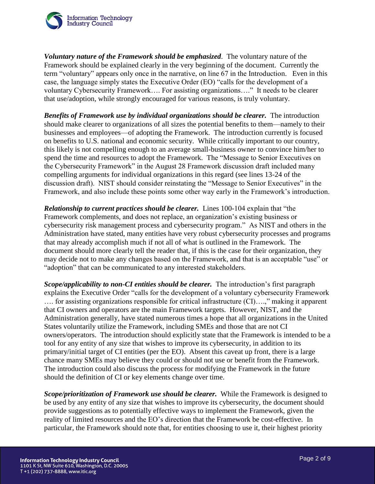

*Voluntary nature of the Framework should be emphasized*. The voluntary nature of the Framework should be explained clearly in the very beginning of the document. Currently the term "voluntary" appears only once in the narrative, on line 67 in the Introduction. Even in this case, the language simply states the Executive Order (EO) "calls for the development of a voluntary Cybersecurity Framework…. For assisting organizations…." It needs to be clearer that use/adoption, while strongly encouraged for various reasons, is truly voluntary.

*Benefits of Framework use by individual organizations should be clearer.* The introduction should make clearer to organizations of all sizes the potential benefits to them—namely to their businesses and employees—of adopting the Framework. The introduction currently is focused on benefits to U.S. national and economic security. While critically important to our country, this likely is not compelling enough to an average small-business owner to convince him/her to spend the time and resources to adopt the Framework. The "Message to Senior Executives on the Cybersecurity Framework" in the August 28 Framework discussion draft included many compelling arguments for individual organizations in this regard (see lines 13-24 of the discussion draft). NIST should consider reinstating the "Message to Senior Executives" in the Framework, and also include these points some other way early in the Framework's introduction.

*Relationship to current practices should be clearer.* Lines 100-104 explain that "the Framework complements, and does not replace, an organization's existing business or cybersecurity risk management process and cybersecurity program." As NIST and others in the Administration have stated, many entities have very robust cybersecurity processes and programs that may already accomplish much if not all of what is outlined in the Framework. The document should more clearly tell the reader that, if this is the case for their organization, they may decide not to make any changes based on the Framework, and that is an acceptable "use" or "adoption" that can be communicated to any interested stakeholders.

*Scope/applicability to non-CI entities should be clearer.* The introduction's first paragraph explains the Executive Order "calls for the development of a voluntary cybersecurity Framework …. for assisting organizations responsible for critical infrastructure (CI)….," making it apparent that CI owners and operators are the main Framework targets. However, NIST, and the Administration generally, have stated numerous times a hope that all organizations in the United States voluntarily utilize the Framework, including SMEs and those that are not CI owners/operators. The introduction should explicitly state that the Framework is intended to be a tool for any entity of any size that wishes to improve its cybersecurity, in addition to its primary/initial target of CI entities (per the EO). Absent this caveat up front, there is a large chance many SMEs may believe they could or should not use or benefit from the Framework. The introduction could also discuss the process for modifying the Framework in the future should the definition of CI or key elements change over time.

*Scope/prioritization of Framework use should be clearer.* While the Framework is designed to be used by any entity of any size that wishes to improve its cybersecurity, the document should provide suggestions as to potentially effective ways to implement the Framework, given the reality of limited resources and the EO's direction that the Framework be cost-effective. In particular, the Framework should note that, for entities choosing to use it, their highest priority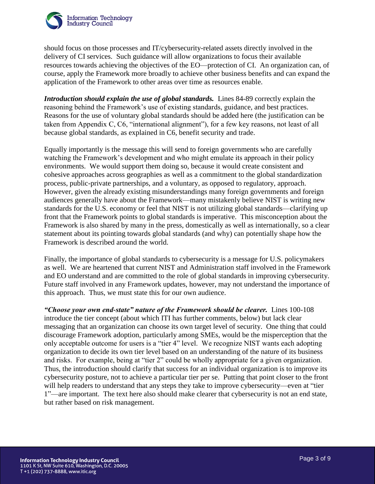

should focus on those processes and IT/cybersecurity-related assets directly involved in the delivery of CI services. Such guidance will allow organizations to focus their available resources towards achieving the objectives of the EO—protection of CI. An organization can, of course, apply the Framework more broadly to achieve other business benefits and can expand the application of the Framework to other areas over time as resources enable.

*Introduction should explain the use of global standards.* Lines 84-89 correctly explain the reasoning behind the Framework's use of existing standards, guidance, and best practices. Reasons for the use of voluntary global standards should be added here (the justification can be taken from Appendix C, C6, "international alignment"), for a few key reasons, not least of all because global standards, as explained in C6, benefit security and trade.

Equally importantly is the message this will send to foreign governments who are carefully watching the Framework's development and who might emulate its approach in their policy environments. We would support them doing so, because it would create consistent and cohesive approaches across geographies as well as a commitment to the global standardization process, public-private partnerships, and a voluntary, as opposed to regulatory, approach. However, given the already existing misunderstandings many foreign governments and foreign audiences generally have about the Framework—many mistakenly believe NIST is writing new standards for the U.S. economy or feel that NIST is not utilizing global standards—clarifying up front that the Framework points to global standards is imperative. This misconception about the Framework is also shared by many in the press, domestically as well as internationally, so a clear statement about its pointing towards global standards (and why) can potentially shape how the Framework is described around the world.

Finally, the importance of global standards to cybersecurity is a message for U.S. policymakers as well. We are heartened that current NIST and Administration staff involved in the Framework and EO understand and are committed to the role of global standards in improving cybersecurity. Future staff involved in any Framework updates, however, may not understand the importance of this approach. Thus, we must state this for our own audience.

*"Choose your own end-state" nature of the Framework should be clearer.* Lines 100-108 introduce the tier concept (about which ITI has further comments, below) but lack clear messaging that an organization can choose its own target level of security. One thing that could discourage Framework adoption, particularly among SMEs, would be the misperception that the only acceptable outcome for users is a "tier 4" level. We recognize NIST wants each adopting organization to decide its own tier level based on an understanding of the nature of its business and risks. For example, being at "tier 2" could be wholly appropriate for a given organization. Thus, the introduction should clarify that success for an individual organization is to improve its cybersecurity posture, not to achieve a particular tier per se. Putting that point closer to the front will help readers to understand that any steps they take to improve cybersecurity—even at "tier 1"—are important. The text here also should make clearer that cybersecurity is not an end state, but rather based on risk management.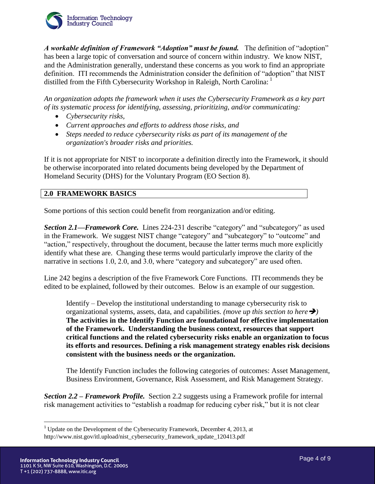

*A workable definition of Framework "Adoption" must be found.* The definition of "adoption" has been a large topic of conversation and source of concern within industry. We know NIST, and the Administration generally, understand these concerns as you work to find an appropriate definition. ITI recommends the Administration consider the definition of "adoption" that NIST distilled from the Fifth Cybersecurity Workshop in Raleigh, North Carolina: <sup>1</sup>

*An organization adopts the framework when it uses the Cybersecurity Framework as a key part of its systematic process for identifying, assessing, prioritizing, and/or communicating:* 

- *Cybersecurity risks,*
- *Current approaches and efforts to address those risks, and*
- *Steps needed to reduce cybersecurity risks as part of its management of the organization's broader risks and priorities.*

If it is not appropriate for NIST to incorporate a definition directly into the Framework, it should be otherwise incorporated into related documents being developed by the Department of Homeland Security (DHS) for the Voluntary Program (EO Section 8).

#### **2.0 FRAMEWORK BASICS**

Some portions of this section could benefit from reorganization and/or editing.

*Section 2.1—Framework Core.* Lines 224-231 describe "category" and "subcategory" as used in the Framework. We suggest NIST change "category" and "subcategory" to "outcome" and "action," respectively, throughout the document, because the latter terms much more explicitly identify what these are. Changing these terms would particularly improve the clarity of the narrative in sections 1.0, 2.0, and 3.0, where "category and subcategory" are used often.

Line 242 begins a description of the five Framework Core Functions. ITI recommends they be edited to be explained, followed by their outcomes. Below is an example of our suggestion.

Identify – Develop the institutional understanding to manage cybersecurity risk to organizational systems, assets, data, and capabilities. *(move up this section to here)* **The activities in the Identify Function are foundational for effective implementation of the Framework. Understanding the business context, resources that support critical functions and the related cybersecurity risks enable an organization to focus its efforts and resources. Defining a risk management strategy enables risk decisions consistent with the business needs or the organization.**

The Identify Function includes the following categories of outcomes: Asset Management, Business Environment, Governance, Risk Assessment, and Risk Management Strategy.

*Section 2.2 – Framework Profile.* Section 2.2 suggests using a Framework profile for internal risk management activities to "establish a roadmap for reducing cyber risk," but it is not clear

 $\overline{a}$ 

<sup>&</sup>lt;sup>1</sup> Update on the Development of the Cybersecurity Framework, December 4, 2013, at http://www.nist.gov/itl.upload/nist\_cybersecurity\_framework\_update\_120413.pdf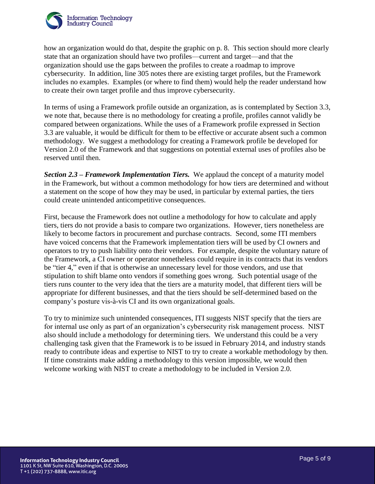

how an organization would do that, despite the graphic on p. 8. This section should more clearly state that an organization should have two profiles—current and target—and that the organization should use the gaps between the profiles to create a roadmap to improve cybersecurity. In addition, line 305 notes there are existing target profiles, but the Framework includes no examples. Examples (or where to find them) would help the reader understand how to create their own target profile and thus improve cybersecurity.

In terms of using a Framework profile outside an organization, as is contemplated by Section 3.3, we note that, because there is no methodology for creating a profile, profiles cannot validly be compared between organizations. While the uses of a Framework profile expressed in Section 3.3 are valuable, it would be difficult for them to be effective or accurate absent such a common methodology. We suggest a methodology for creating a Framework profile be developed for Version 2.0 of the Framework and that suggestions on potential external uses of profiles also be reserved until then.

*Section 2.3 – Framework Implementation Tiers.* We applaud the concept of a maturity model in the Framework, but without a common methodology for how tiers are determined and without a statement on the scope of how they may be used, in particular by external parties, the tiers could create unintended anticompetitive consequences.

First, because the Framework does not outline a methodology for how to calculate and apply tiers, tiers do not provide a basis to compare two organizations. However, tiers nonetheless are likely to become factors in procurement and purchase contracts. Second, some ITI members have voiced concerns that the Framework implementation tiers will be used by CI owners and operators to try to push liability onto their vendors. For example, despite the voluntary nature of the Framework, a CI owner or operator nonetheless could require in its contracts that its vendors be "tier 4," even if that is otherwise an unnecessary level for those vendors, and use that stipulation to shift blame onto vendors if something goes wrong. Such potential usage of the tiers runs counter to the very idea that the tiers are a maturity model, that different tiers will be appropriate for different businesses, and that the tiers should be self-determined based on the company's posture vis-à-vis CI and its own organizational goals.

To try to minimize such unintended consequences, ITI suggests NIST specify that the tiers are for internal use only as part of an organization's cybersecurity risk management process. NIST also should include a methodology for determining tiers. We understand this could be a very challenging task given that the Framework is to be issued in February 2014, and industry stands ready to contribute ideas and expertise to NIST to try to create a workable methodology by then. If time constraints make adding a methodology to this version impossible, we would then welcome working with NIST to create a methodology to be included in Version 2.0.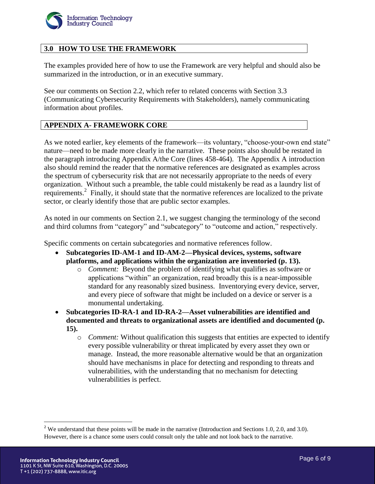

## **3.0 HOW TO USE THE FRAMEWORK**

The examples provided here of how to use the Framework are very helpful and should also be summarized in the introduction, or in an executive summary.

See our comments on Section 2.2, which refer to related concerns with Section 3.3 (Communicating Cybersecurity Requirements with Stakeholders), namely communicating information about profiles.

### **APPENDIX A- FRAMEWORK CORE**

As we noted earlier, key elements of the framework—its voluntary, "choose-your-own end state" nature—need to be made more clearly in the narrative. These points also should be restated in the paragraph introducing Appendix A/the Core (lines 458-464). The Appendix A introduction also should remind the reader that the normative references are designated as examples across the spectrum of cybersecurity risk that are not necessarily appropriate to the needs of every organization. Without such a preamble, the table could mistakenly be read as a laundry list of requirements.<sup>2</sup> Finally, it should state that the normative references are localized to the private sector, or clearly identify those that are public sector examples.

As noted in our comments on Section 2.1, we suggest changing the terminology of the second and third columns from "category" and "subcategory" to "outcome and action," respectively.

Specific comments on certain subcategories and normative references follow.

- **Subcategories ID-AM-1 and ID-AM-2—Physical devices, systems, software platforms, and applications within the organization are inventoried (p. 13).**
	- o *Comment:* Beyond the problem of identifying what qualifies as software or applications "within" an organization, read broadly this is a near-impossible standard for any reasonably sized business. Inventorying every device, server, and every piece of software that might be included on a device or server is a monumental undertaking.
- **Subcategories ID-RA-1 and ID-RA-2—Asset vulnerabilities are identified and documented and threats to organizational assets are identified and documented (p. 15).** 
	- o *Comment:* Without qualification this suggests that entities are expected to identify every possible vulnerability or threat implicated by every asset they own or manage. Instead, the more reasonable alternative would be that an organization should have mechanisms in place for detecting and responding to threats and vulnerabilities, with the understanding that no mechanism for detecting vulnerabilities is perfect.

 $\overline{a}$ 

<sup>&</sup>lt;sup>2</sup> We understand that these points will be made in the narrative (Introduction and Sections 1.0, 2.0, and 3.0). However, there is a chance some users could consult only the table and not look back to the narrative.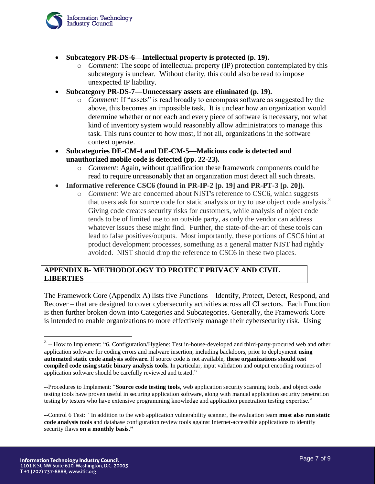

- **Subcategory PR-DS-6—Intellectual property is protected (p. 19).**
	- o *Comment:* The scope of intellectual property (IP) protection contemplated by this subcategory is unclear. Without clarity, this could also be read to impose unexpected IP liability.
- **Subcategory PR-DS-7—Unnecessary assets are eliminated (p. 19).**
	- o *Comment:* If "assets" is read broadly to encompass software as suggested by the above, this becomes an impossible task. It is unclear how an organization would determine whether or not each and every piece of software is necessary, nor what kind of inventory system would reasonably allow administrators to manage this task. This runs counter to how most, if not all, organizations in the software context operate.
- **Subcategories DE-CM-4 and DE-CM-5—Malicious code is detected and unauthorized mobile code is detected (pp. 22-23).**
	- o *Comment:* Again, without qualification these framework components could be read to require unreasonably that an organization must detect all such threats.
- **Informative reference CSC6 (found in PR-IP-2 [p. 19] and PR-PT-3 [p. 20]).**
	- o *Comment:* We are concerned about NIST's reference to CSC6, which suggests that users ask for source code for static analysis or try to use object code analysis.<sup>3</sup> Giving code creates security risks for customers, while analysis of object code tends to be of limited use to an outside party, as only the vendor can address whatever issues these might find. Further, the state-of-the-art of these tools can lead to false positives/outputs. Most importantly, these portions of CSC6 hint at product development processes, something as a general matter NIST had rightly avoided. NIST should drop the reference to CSC6 in these two places.

#### **APPENDIX B- METHODOLOGY TO PROTECT PRIVACY AND CIVIL LIBERTIES**

The Framework Core (Appendix A) lists five Functions – Identify, Protect, Detect, Respond, and Recover – that are designed to cover cybersecurity activities across all CI sectors. Each Function is then further broken down into Categories and Subcategories. Generally, the Framework Core is intended to enable organizations to more effectively manage their cybersecurity risk. Using

<sup>&</sup>lt;sup>3</sup> -- How to Implement: "6. Configuration/Hygiene: Test in-house-developed and third-party-procured web and other application software for coding errors and malware insertion, including backdoors, prior to deployment **using automated static code analysis software.** If source code is not available, **these organizations should test compiled code using static binary analysis tools.** In particular, input validation and output encoding routines of application software should be carefully reviewed and tested."

<sup>--</sup>Procedures to Implement: "**Source code testing tools**, web application security scanning tools, and object code testing tools have proven useful in securing application software, along with manual application security penetration testing by testers who have extensive programming knowledge and application penetration testing expertise."

<sup>--</sup>Control 6 Test: "In addition to the web application vulnerability scanner, the evaluation team **must also run static code analysis tools** and database configuration review tools against Internet-accessible applications to identify security flaws **on a monthly basis."**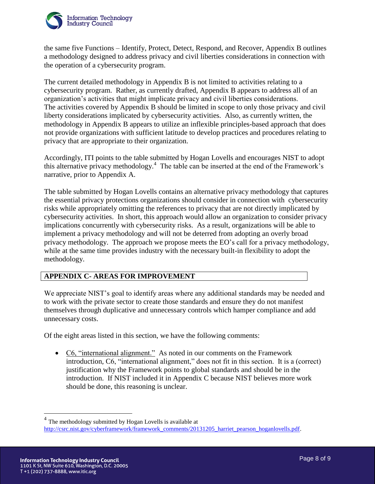

the same five Functions – Identify, Protect, Detect, Respond, and Recover, Appendix B outlines a methodology designed to address privacy and civil liberties considerations in connection with the operation of a cybersecurity program.

The current detailed methodology in Appendix B is not limited to activities relating to a cybersecurity program. Rather, as currently drafted, Appendix B appears to address all of an organization's activities that might implicate privacy and civil liberties considerations. The activities covered by Appendix B should be limited in scope to only those privacy and civil liberty considerations implicated by cybersecurity activities. Also, as currently written, the methodology in Appendix B appears to utilize an inflexible principles-based approach that does not provide organizations with sufficient latitude to develop practices and procedures relating to privacy that are appropriate to their organization.

Accordingly, ITI points to the table submitted by Hogan Lovells and encourages NIST to adopt this alternative privacy methodology.<sup>4</sup> The table can be inserted at the end of the Framework's narrative, prior to Appendix A.

The table submitted by Hogan Lovells contains an alternative privacy methodology that captures the essential privacy protections organizations should consider in connection with cybersecurity risks while appropriately omitting the references to privacy that are not directly implicated by cybersecurity activities. In short, this approach would allow an organization to consider privacy implications concurrently with cybersecurity risks. As a result, organizations will be able to implement a privacy methodology and will not be deterred from adopting an overly broad privacy methodology. The approach we propose meets the EO's call for a privacy methodology, while at the same time provides industry with the necessary built-in flexibility to adopt the methodology.

#### **APPENDIX C- AREAS FOR IMPROVEMENT**

We appreciate NIST's goal to identify areas where any additional standards may be needed and to work with the private sector to create those standards and ensure they do not manifest themselves through duplicative and unnecessary controls which hamper compliance and add unnecessary costs.

Of the eight areas listed in this section, we have the following comments:

 C6, "international alignment." As noted in our comments on the Framework introduction, C6, "international alignment," does not fit in this section. It is a (correct) justification why the Framework points to global standards and should be in the introduction. If NIST included it in Appendix C because NIST believes more work should be done, this reasoning is unclear.

<sup>4</sup> The methodology submitted by Hogan Lovells is available at [http://csrc.nist.gov/cyberframework/framework\\_comments/20131205\\_harriet\\_pearson\\_hoganlovells.pdf.](http://csrc.nist.gov/cyberframework/framework_comments/20131205_harriet_pearson_hoganlovells.pdf)

 $\overline{a}$